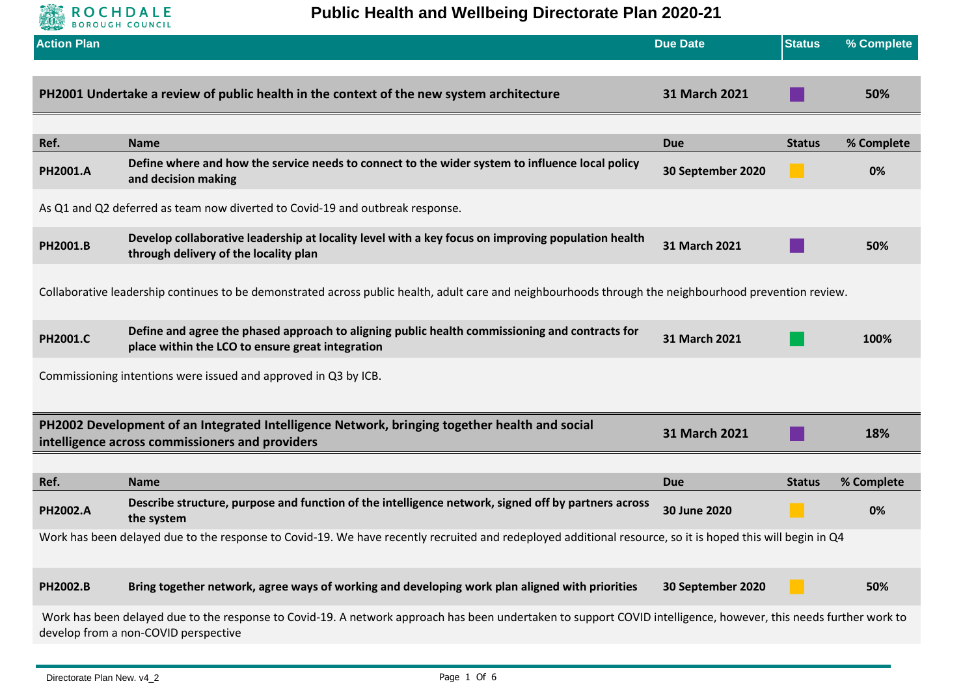

**Public Health and Wellbeing Directorate Plan 2020-21**

| <b>Action Plan</b>                                                                                                                                                                                       |                                                                                                                                                            | <b>Due Date</b>   | <b>Status</b> | % Complete |
|----------------------------------------------------------------------------------------------------------------------------------------------------------------------------------------------------------|------------------------------------------------------------------------------------------------------------------------------------------------------------|-------------------|---------------|------------|
|                                                                                                                                                                                                          |                                                                                                                                                            |                   |               |            |
|                                                                                                                                                                                                          | PH2001 Undertake a review of public health in the context of the new system architecture                                                                   | 31 March 2021     |               | 50%        |
|                                                                                                                                                                                                          |                                                                                                                                                            |                   |               |            |
| Ref.                                                                                                                                                                                                     | <b>Name</b>                                                                                                                                                | <b>Due</b>        | <b>Status</b> | % Complete |
| PH2001.A                                                                                                                                                                                                 | Define where and how the service needs to connect to the wider system to influence local policy<br>and decision making                                     | 30 September 2020 |               | 0%         |
|                                                                                                                                                                                                          | As Q1 and Q2 deferred as team now diverted to Covid-19 and outbreak response.                                                                              |                   |               |            |
| PH2001.B                                                                                                                                                                                                 | Develop collaborative leadership at locality level with a key focus on improving population health<br>through delivery of the locality plan                | 31 March 2021     |               | 50%        |
|                                                                                                                                                                                                          | Collaborative leadership continues to be demonstrated across public health, adult care and neighbourhoods through the neighbourhood prevention review.     |                   |               |            |
| PH2001.C                                                                                                                                                                                                 | Define and agree the phased approach to aligning public health commissioning and contracts for<br>place within the LCO to ensure great integration         | 31 March 2021     |               | 100%       |
|                                                                                                                                                                                                          | Commissioning intentions were issued and approved in Q3 by ICB.                                                                                            |                   |               |            |
| PH2002 Development of an Integrated Intelligence Network, bringing together health and social<br>31 March 2021<br>intelligence across commissioners and providers                                        |                                                                                                                                                            |                   |               | 18%        |
|                                                                                                                                                                                                          |                                                                                                                                                            |                   |               |            |
| Ref.                                                                                                                                                                                                     | <b>Name</b>                                                                                                                                                | <b>Due</b>        | <b>Status</b> | % Complete |
| PH2002.A                                                                                                                                                                                                 | Describe structure, purpose and function of the intelligence network, signed off by partners across<br>the system                                          | 30 June 2020      |               | 0%         |
|                                                                                                                                                                                                          | Work has been delayed due to the response to Covid-19. We have recently recruited and redeployed additional resource, so it is hoped this will begin in Q4 |                   |               |            |
| PH2002.B                                                                                                                                                                                                 | Bring together network, agree ways of working and developing work plan aligned with priorities                                                             | 30 September 2020 |               | 50%        |
| Work has been delayed due to the response to Covid-19. A network approach has been undertaken to support COVID intelligence, however, this needs further work to<br>develop from a non-COVID perspective |                                                                                                                                                            |                   |               |            |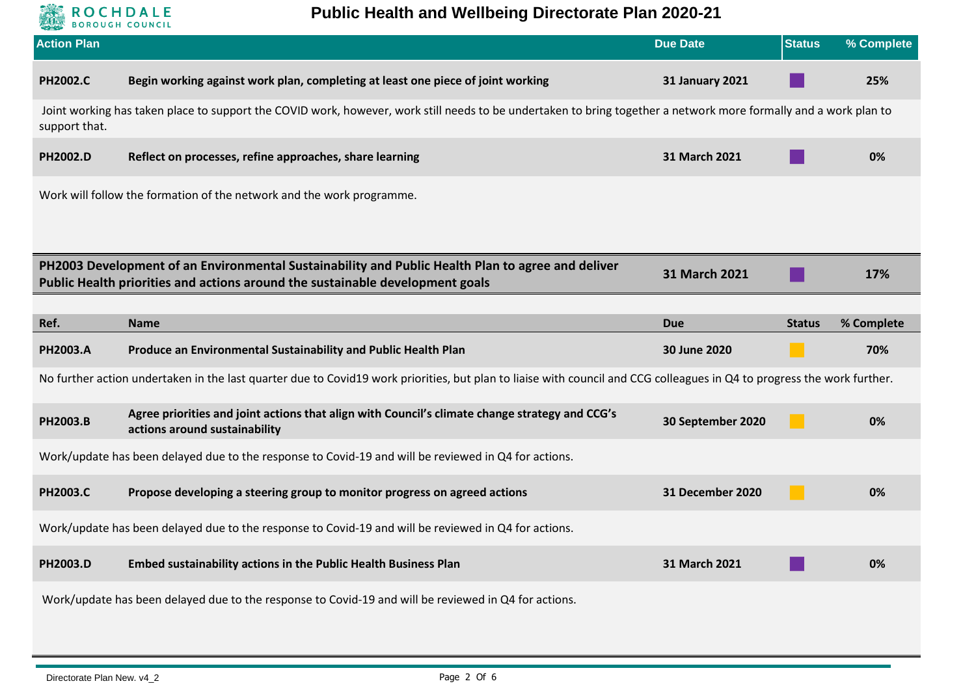

**Public Health and Wellbeing Directorate Plan 2020-21**

| <b>Action Plan</b> |                                                                                                                                                                                                            | <b>Due Date</b>        | <b>Status</b> | % Complete |  |
|--------------------|------------------------------------------------------------------------------------------------------------------------------------------------------------------------------------------------------------|------------------------|---------------|------------|--|
| <b>PH2002.C</b>    | Begin working against work plan, completing at least one piece of joint working                                                                                                                            | <b>31 January 2021</b> |               | 25%        |  |
| support that.      | Joint working has taken place to support the COVID work, however, work still needs to be undertaken to bring together a network more formally and a work plan to                                           |                        |               |            |  |
| PH2002.D           | Reflect on processes, refine approaches, share learning                                                                                                                                                    | 31 March 2021          |               | 0%         |  |
|                    | Work will follow the formation of the network and the work programme.                                                                                                                                      |                        |               |            |  |
|                    |                                                                                                                                                                                                            |                        |               |            |  |
|                    | PH2003 Development of an Environmental Sustainability and Public Health Plan to agree and deliver<br>31 March 2021<br>17%<br>Public Health priorities and actions around the sustainable development goals |                        |               |            |  |
|                    |                                                                                                                                                                                                            |                        |               |            |  |
| Ref.               | <b>Name</b>                                                                                                                                                                                                | <b>Due</b>             | <b>Status</b> | % Complete |  |
| PH2003.A           | Produce an Environmental Sustainability and Public Health Plan                                                                                                                                             | 30 June 2020           |               | 70%        |  |
|                    | No further action undertaken in the last quarter due to Covid19 work priorities, but plan to liaise with council and CCG colleagues in Q4 to progress the work further.                                    |                        |               |            |  |
| PH2003.B           | Agree priorities and joint actions that align with Council's climate change strategy and CCG's<br>actions around sustainability                                                                            | 30 September 2020      |               | 0%         |  |
|                    | Work/update has been delayed due to the response to Covid-19 and will be reviewed in Q4 for actions.                                                                                                       |                        |               |            |  |
| <b>PH2003.C</b>    | Propose developing a steering group to monitor progress on agreed actions                                                                                                                                  | 31 December 2020       | a s           | 0%         |  |
|                    | Work/update has been delayed due to the response to Covid-19 and will be reviewed in Q4 for actions.                                                                                                       |                        |               |            |  |
| PH2003.D           | Embed sustainability actions in the Public Health Business Plan                                                                                                                                            | 31 March 2021          |               | 0%         |  |
|                    | Work/update has been delayed due to the response to Covid-19 and will be reviewed in Q4 for actions.                                                                                                       |                        |               |            |  |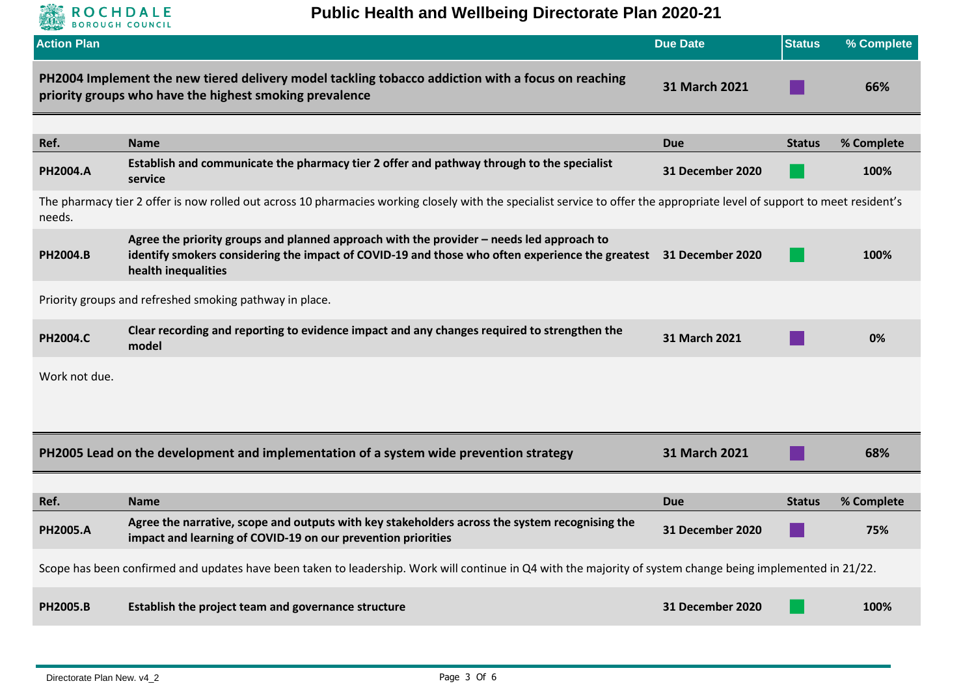

## **Public Health and Wellbeing Directorate Plan 2020-21**

| <b>Action Plan</b>                                                                                                                                                                  |                                                                                                                                                                                                                                     | <b>Due Date</b>  | <b>Status</b> | % Complete |
|-------------------------------------------------------------------------------------------------------------------------------------------------------------------------------------|-------------------------------------------------------------------------------------------------------------------------------------------------------------------------------------------------------------------------------------|------------------|---------------|------------|
|                                                                                                                                                                                     | PH2004 Implement the new tiered delivery model tackling tobacco addiction with a focus on reaching<br>priority groups who have the highest smoking prevalence                                                                       | 31 March 2021    |               | 66%        |
|                                                                                                                                                                                     |                                                                                                                                                                                                                                     |                  |               |            |
| Ref.                                                                                                                                                                                | <b>Name</b>                                                                                                                                                                                                                         | <b>Due</b>       | <b>Status</b> | % Complete |
| PH2004.A                                                                                                                                                                            | Establish and communicate the pharmacy tier 2 offer and pathway through to the specialist<br>service                                                                                                                                | 31 December 2020 |               | 100%       |
| The pharmacy tier 2 offer is now rolled out across 10 pharmacies working closely with the specialist service to offer the appropriate level of support to meet resident's<br>needs. |                                                                                                                                                                                                                                     |                  |               |            |
| <b>PH2004.B</b>                                                                                                                                                                     | Agree the priority groups and planned approach with the provider - needs led approach to<br>identify smokers considering the impact of COVID-19 and those who often experience the greatest 31 December 2020<br>health inequalities |                  |               | 100%       |
|                                                                                                                                                                                     | Priority groups and refreshed smoking pathway in place.                                                                                                                                                                             |                  |               |            |
| <b>PH2004.C</b>                                                                                                                                                                     | Clear recording and reporting to evidence impact and any changes required to strengthen the<br>model                                                                                                                                | 31 March 2021    |               | 0%         |
| Work not due.                                                                                                                                                                       |                                                                                                                                                                                                                                     |                  |               |            |
| PH2005 Lead on the development and implementation of a system wide prevention strategy<br>31 March 2021<br>68%                                                                      |                                                                                                                                                                                                                                     |                  |               |            |
|                                                                                                                                                                                     |                                                                                                                                                                                                                                     |                  |               |            |
| Ref.                                                                                                                                                                                | <b>Name</b>                                                                                                                                                                                                                         | <b>Due</b>       | <b>Status</b> | % Complete |
| <b>PH2005.A</b>                                                                                                                                                                     | Agree the narrative, scope and outputs with key stakeholders across the system recognising the<br>impact and learning of COVID-19 on our prevention priorities                                                                      | 31 December 2020 |               | 75%        |
| Scope has been confirmed and updates have been taken to leadership. Work will continue in Q4 with the majority of system change being implemented in 21/22.                         |                                                                                                                                                                                                                                     |                  |               |            |
| <b>PH2005.B</b>                                                                                                                                                                     | Establish the project team and governance structure                                                                                                                                                                                 | 31 December 2020 |               | 100%       |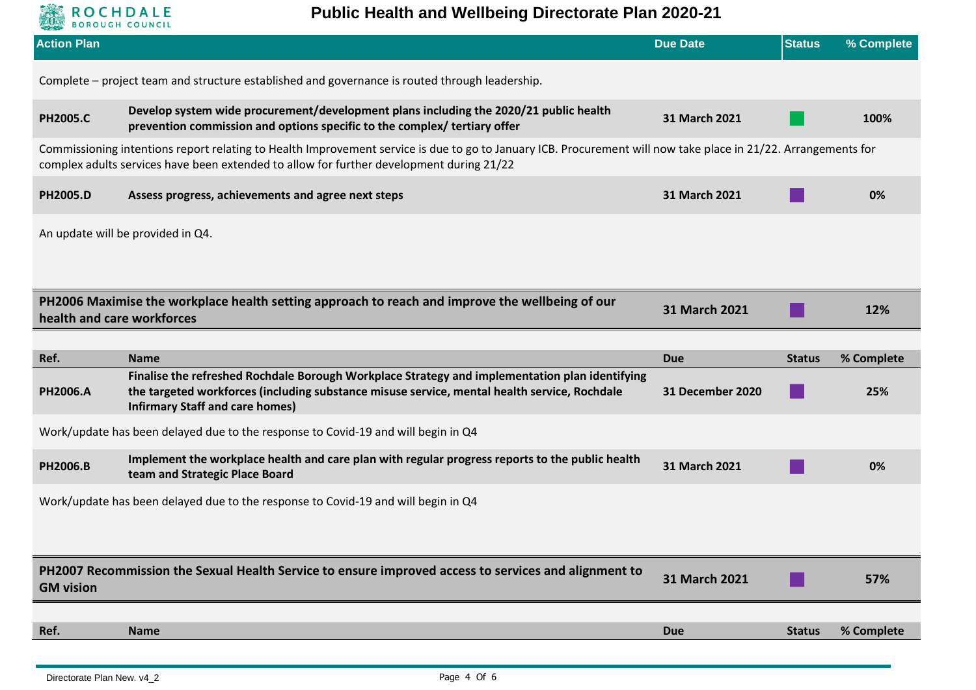

## **Public Health and Wellbeing Directorate Plan 2020-21**

| <b>Action Plan</b>                                                                                                                                                                                                                                         |                                                                                                                                                                                                                                          | <b>Due Date</b>  | <b>Status</b> | % Complete |  |
|------------------------------------------------------------------------------------------------------------------------------------------------------------------------------------------------------------------------------------------------------------|------------------------------------------------------------------------------------------------------------------------------------------------------------------------------------------------------------------------------------------|------------------|---------------|------------|--|
|                                                                                                                                                                                                                                                            | Complete - project team and structure established and governance is routed through leadership.                                                                                                                                           |                  |               |            |  |
| <b>PH2005.C</b>                                                                                                                                                                                                                                            | Develop system wide procurement/development plans including the 2020/21 public health<br>prevention commission and options specific to the complex/ tertiary offer                                                                       | 31 March 2021    |               | 100%       |  |
| Commissioning intentions report relating to Health Improvement service is due to go to January ICB. Procurement will now take place in 21/22. Arrangements for<br>complex adults services have been extended to allow for further development during 21/22 |                                                                                                                                                                                                                                          |                  |               |            |  |
| <b>PH2005.D</b>                                                                                                                                                                                                                                            | Assess progress, achievements and agree next steps                                                                                                                                                                                       | 31 March 2021    |               | 0%         |  |
|                                                                                                                                                                                                                                                            | An update will be provided in Q4.                                                                                                                                                                                                        |                  |               |            |  |
| PH2006 Maximise the workplace health setting approach to reach and improve the wellbeing of our<br>31 March 2021<br>12%<br>health and care workforces                                                                                                      |                                                                                                                                                                                                                                          |                  |               |            |  |
|                                                                                                                                                                                                                                                            |                                                                                                                                                                                                                                          |                  |               |            |  |
| Ref.                                                                                                                                                                                                                                                       | <b>Name</b>                                                                                                                                                                                                                              | <b>Due</b>       | <b>Status</b> | % Complete |  |
| PH2006.A                                                                                                                                                                                                                                                   | Finalise the refreshed Rochdale Borough Workplace Strategy and implementation plan identifying<br>the targeted workforces (including substance misuse service, mental health service, Rochdale<br><b>Infirmary Staff and care homes)</b> | 31 December 2020 |               | 25%        |  |
| Work/update has been delayed due to the response to Covid-19 and will begin in Q4                                                                                                                                                                          |                                                                                                                                                                                                                                          |                  |               |            |  |
| PH2006.B                                                                                                                                                                                                                                                   | Implement the workplace health and care plan with regular progress reports to the public health<br>team and Strategic Place Board                                                                                                        | 31 March 2021    |               | 0%         |  |
| Work/update has been delayed due to the response to Covid-19 and will begin in Q4                                                                                                                                                                          |                                                                                                                                                                                                                                          |                  |               |            |  |
| PH2007 Recommission the Sexual Health Service to ensure improved access to services and alignment to<br><b>GM vision</b>                                                                                                                                   |                                                                                                                                                                                                                                          | 31 March 2021    |               | 57%        |  |
|                                                                                                                                                                                                                                                            |                                                                                                                                                                                                                                          |                  |               |            |  |
| Ref.                                                                                                                                                                                                                                                       | <b>Name</b>                                                                                                                                                                                                                              | <b>Due</b>       | <b>Status</b> | % Complete |  |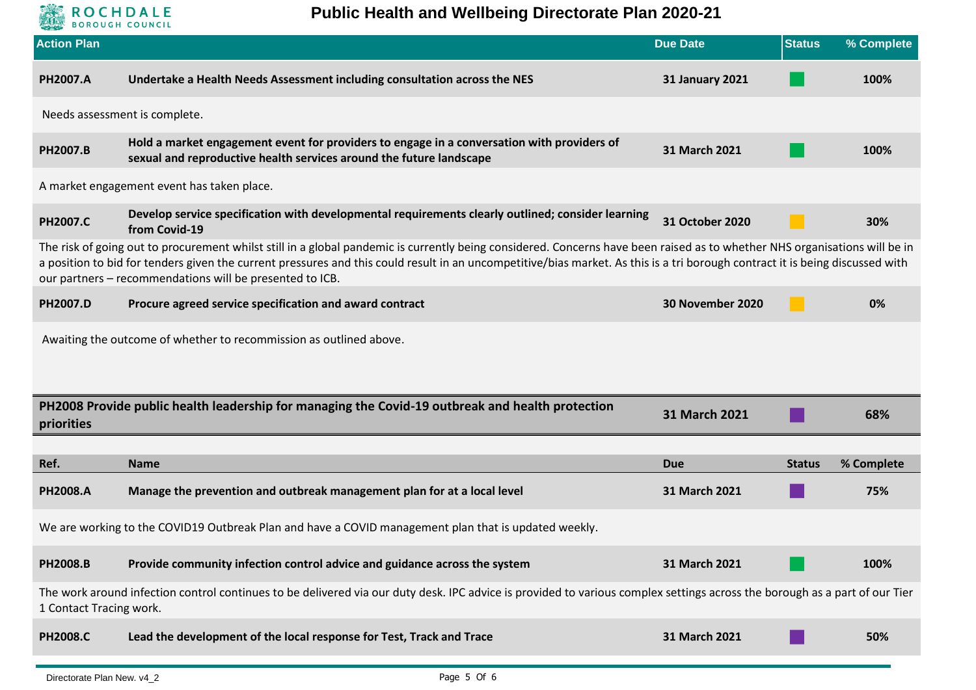

**Public Health and Wellbeing Directorate Plan 2020-21**

| <b>Action Plan</b>                                                                                                                                                                                    |                                                                                                                                                                                                                                                                                                                                                                                                                         | <b>Due Date</b>        | <b>Status</b> | % Complete |  |
|-------------------------------------------------------------------------------------------------------------------------------------------------------------------------------------------------------|-------------------------------------------------------------------------------------------------------------------------------------------------------------------------------------------------------------------------------------------------------------------------------------------------------------------------------------------------------------------------------------------------------------------------|------------------------|---------------|------------|--|
| PH2007.A                                                                                                                                                                                              | Undertake a Health Needs Assessment including consultation across the NES                                                                                                                                                                                                                                                                                                                                               | <b>31 January 2021</b> |               | 100%       |  |
| Needs assessment is complete.                                                                                                                                                                         |                                                                                                                                                                                                                                                                                                                                                                                                                         |                        |               |            |  |
| PH2007.B                                                                                                                                                                                              | Hold a market engagement event for providers to engage in a conversation with providers of<br>sexual and reproductive health services around the future landscape                                                                                                                                                                                                                                                       | 31 March 2021          |               | 100%       |  |
|                                                                                                                                                                                                       | A market engagement event has taken place.                                                                                                                                                                                                                                                                                                                                                                              |                        |               |            |  |
| <b>PH2007.C</b>                                                                                                                                                                                       | Develop service specification with developmental requirements clearly outlined; consider learning<br>from Covid-19                                                                                                                                                                                                                                                                                                      | 31 October 2020        |               | 30%        |  |
|                                                                                                                                                                                                       | The risk of going out to procurement whilst still in a global pandemic is currently being considered. Concerns have been raised as to whether NHS organisations will be in<br>a position to bid for tenders given the current pressures and this could result in an uncompetitive/bias market. As this is a tri borough contract it is being discussed with<br>our partners - recommendations will be presented to ICB. |                        |               |            |  |
| PH2007.D                                                                                                                                                                                              | Procure agreed service specification and award contract                                                                                                                                                                                                                                                                                                                                                                 | 30 November 2020       |               | 0%         |  |
|                                                                                                                                                                                                       | Awaiting the outcome of whether to recommission as outlined above.                                                                                                                                                                                                                                                                                                                                                      |                        |               |            |  |
| priorities                                                                                                                                                                                            | PH2008 Provide public health leadership for managing the Covid-19 outbreak and health protection                                                                                                                                                                                                                                                                                                                        | 31 March 2021          |               | 68%        |  |
|                                                                                                                                                                                                       |                                                                                                                                                                                                                                                                                                                                                                                                                         |                        |               |            |  |
| Ref.                                                                                                                                                                                                  | <b>Name</b>                                                                                                                                                                                                                                                                                                                                                                                                             | <b>Due</b>             | <b>Status</b> | % Complete |  |
| <b>PH2008.A</b>                                                                                                                                                                                       | Manage the prevention and outbreak management plan for at a local level                                                                                                                                                                                                                                                                                                                                                 | 31 March 2021          |               | 75%        |  |
| We are working to the COVID19 Outbreak Plan and have a COVID management plan that is updated weekly.                                                                                                  |                                                                                                                                                                                                                                                                                                                                                                                                                         |                        |               |            |  |
| <b>PH2008.B</b>                                                                                                                                                                                       | Provide community infection control advice and guidance across the system                                                                                                                                                                                                                                                                                                                                               | 31 March 2021          |               | 100%       |  |
| The work around infection control continues to be delivered via our duty desk. IPC advice is provided to various complex settings across the borough as a part of our Tier<br>1 Contact Tracing work. |                                                                                                                                                                                                                                                                                                                                                                                                                         |                        |               |            |  |
| <b>PH2008.C</b>                                                                                                                                                                                       | Lead the development of the local response for Test, Track and Trace                                                                                                                                                                                                                                                                                                                                                    | 31 March 2021          |               | 50%        |  |
|                                                                                                                                                                                                       |                                                                                                                                                                                                                                                                                                                                                                                                                         |                        |               |            |  |